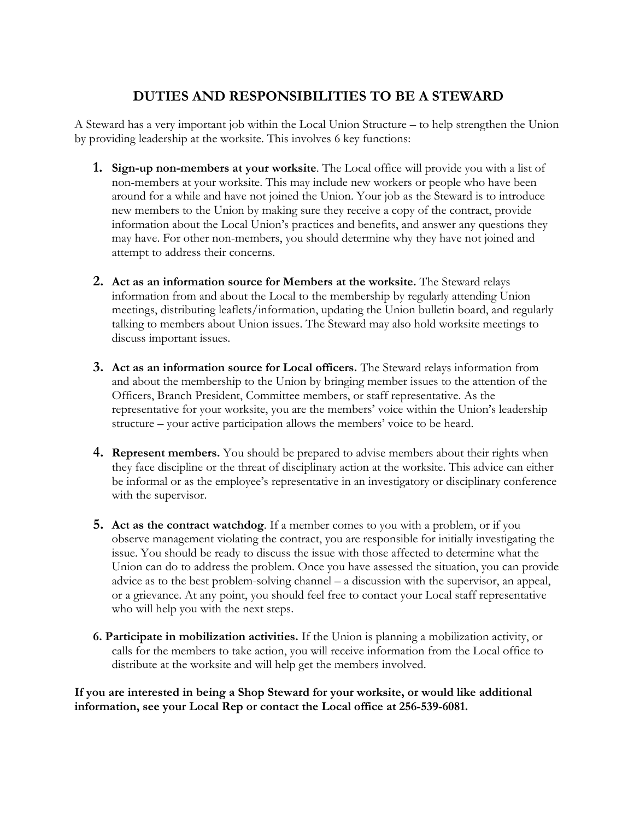## **DUTIES AND RESPONSIBILITIES TO BE A STEWARD**

A Steward has a very important job within the Local Union Structure – to help strengthen the Union by providing leadership at the worksite. This involves 6 key functions:

- **1. Sign-up non-members at your worksite**. The Local office will provide you with a list of non-members at your worksite. This may include new workers or people who have been around for a while and have not joined the Union. Your job as the Steward is to introduce new members to the Union by making sure they receive a copy of the contract, provide information about the Local Union's practices and benefits, and answer any questions they may have. For other non-members, you should determine why they have not joined and attempt to address their concerns.
- **2. Act as an information source for Members at the worksite.** The Steward relays information from and about the Local to the membership by regularly attending Union meetings, distributing leaflets/information, updating the Union bulletin board, and regularly talking to members about Union issues. The Steward may also hold worksite meetings to discuss important issues.
- **3. Act as an information source for Local officers.** The Steward relays information from and about the membership to the Union by bringing member issues to the attention of the Officers, Branch President, Committee members, or staff representative. As the representative for your worksite, you are the members' voice within the Union's leadership structure – your active participation allows the members' voice to be heard.
- **4. Represent members.** You should be prepared to advise members about their rights when they face discipline or the threat of disciplinary action at the worksite. This advice can either be informal or as the employee's representative in an investigatory or disciplinary conference with the supervisor.
- **5. Act as the contract watchdog**. If a member comes to you with a problem, or if you observe management violating the contract, you are responsible for initially investigating the issue. You should be ready to discuss the issue with those affected to determine what the Union can do to address the problem. Once you have assessed the situation, you can provide advice as to the best problem-solving channel – a discussion with the supervisor, an appeal, or a grievance. At any point, you should feel free to contact your Local staff representative who will help you with the next steps.
- **6. Participate in mobilization activities.** If the Union is planning a mobilization activity, or calls for the members to take action, you will receive information from the Local office to distribute at the worksite and will help get the members involved.

**If you are interested in being a Shop Steward for your worksite, or would like additional information, see your Local Rep or contact the Local office at 256-539-6081.**